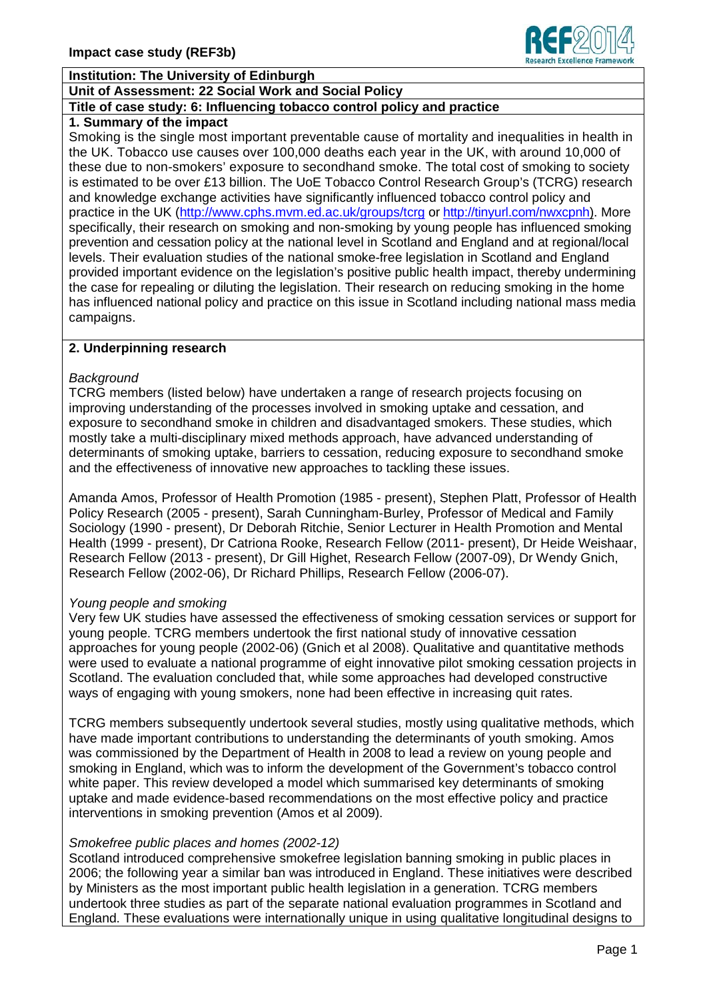

## **Institution: The University of Edinburgh**

## **Unit of Assessment: 22 Social Work and Social Policy**

## **Title of case study: 6: Influencing tobacco control policy and practice**

# **1. Summary of the impact**

Smoking is the single most important preventable cause of mortality and inequalities in health in the UK. Tobacco use causes over 100,000 deaths each year in the UK, with around 10,000 of these due to non-smokers' exposure to secondhand smoke. The total cost of smoking to society is estimated to be over £13 billion. The UoE Tobacco Control Research Group's (TCRG) research and knowledge exchange activities have significantly influenced tobacco control policy and practice in the UK (http://www.cphs.mvm.ed.ac.uk/groups/tcrg or http://tinyurl.com/nwxcpnh). More specifically, their research on smoking and non-smoking by young people has influenced smoking prevention and cessation policy at the national level in Scotland and England and at regional/local levels. Their evaluation studies of the national smoke-free legislation in Scotland and England provided important evidence on the legislation's positive public health impact, thereby undermining the case for repealing or diluting the legislation. Their research on reducing smoking in the home has influenced national policy and practice on this issue in Scotland including national mass media campaigns.

## **2. Underpinning research**

#### *Background*

TCRG members (listed below) have undertaken a range of research projects focusing on improving understanding of the processes involved in smoking uptake and cessation, and exposure to secondhand smoke in children and disadvantaged smokers. These studies, which mostly take a multi-disciplinary mixed methods approach, have advanced understanding of determinants of smoking uptake, barriers to cessation, reducing exposure to secondhand smoke and the effectiveness of innovative new approaches to tackling these issues.

Amanda Amos, Professor of Health Promotion (1985 - present), Stephen Platt, Professor of Health Policy Research (2005 - present), Sarah Cunningham-Burley, Professor of Medical and Family Sociology (1990 - present), Dr Deborah Ritchie, Senior Lecturer in Health Promotion and Mental Health (1999 - present), Dr Catriona Rooke, Research Fellow (2011- present), Dr Heide Weishaar, Research Fellow (2013 - present), Dr Gill Highet, Research Fellow (2007-09), Dr Wendy Gnich, Research Fellow (2002-06), Dr Richard Phillips, Research Fellow (2006-07).

## *Young people and smoking*

Very few UK studies have assessed the effectiveness of smoking cessation services or support for young people. TCRG members undertook the first national study of innovative cessation approaches for young people (2002-06) (Gnich et al 2008). Qualitative and quantitative methods were used to evaluate a national programme of eight innovative pilot smoking cessation projects in Scotland. The evaluation concluded that, while some approaches had developed constructive ways of engaging with young smokers, none had been effective in increasing quit rates.

TCRG members subsequently undertook several studies, mostly using qualitative methods, which have made important contributions to understanding the determinants of youth smoking. Amos was commissioned by the Department of Health in 2008 to lead a review on young people and smoking in England, which was to inform the development of the Government's tobacco control white paper. This review developed a model which summarised key determinants of smoking uptake and made evidence-based recommendations on the most effective policy and practice interventions in smoking prevention (Amos et al 2009).

## *Smokefree public places and homes (2002-12)*

Scotland introduced comprehensive smokefree legislation banning smoking in public places in 2006; the following year a similar ban was introduced in England. These initiatives were described by Ministers as the most important public health legislation in a generation. TCRG members undertook three studies as part of the separate national evaluation programmes in Scotland and England. These evaluations were internationally unique in using qualitative longitudinal designs to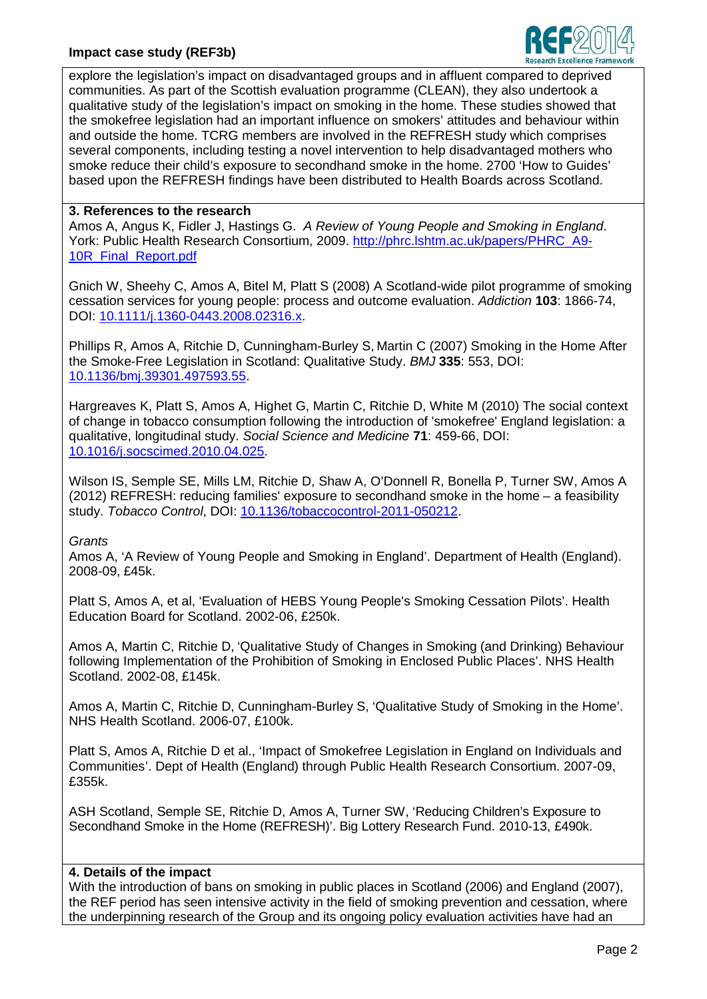## **Impact case study (REF3b)**



explore the legislation's impact on disadvantaged groups and in affluent compared to deprived communities. As part of the Scottish evaluation programme (CLEAN), they also undertook a qualitative study of the legislation's impact on smoking in the home. These studies showed that the smokefree legislation had an important influence on smokers' attitudes and behaviour within and outside the home. TCRG members are involved in the REFRESH study which comprises several components, including testing a novel intervention to help disadvantaged mothers who smoke reduce their child's exposure to secondhand smoke in the home. 2700 'How to Guides' based upon the REFRESH findings have been distributed to Health Boards across Scotland.

#### **3. References to the research**

Amos A, Angus K, Fidler J, Hastings G. *A Review of Young People and Smoking in England*. York: Public Health Research Consortium, 2009. http://phrc.lshtm.ac.uk/papers/PHRC\_A9- 10R\_Final\_Report.pdf

Gnich W, Sheehy C, Amos A, Bitel M, Platt S (2008) A Scotland-wide pilot programme of smoking cessation services for young people: process and outcome evaluation. *Addiction* **103**: 1866-74, DOI: 10.1111/j.1360-0443.2008.02316.x.

Phillips R, Amos A, Ritchie D, Cunningham-Burley S, Martin C (2007) Smoking in the Home After the Smoke-Free Legislation in Scotland: Qualitative Study. *BMJ* **335**: 553, DOI: 10.1136/bmj.39301.497593.55.

Hargreaves K, Platt S, Amos A, Highet G, Martin C, Ritchie D, White M (2010) The social context of change in tobacco consumption following the introduction of 'smokefree' England legislation: a qualitative, longitudinal study. *Social Science and Medicine* **71**: 459-66, DOI: 10.1016/j.socscimed.2010.04.025.

Wilson IS, Semple SE, Mills LM, Ritchie D, Shaw A, O'Donnell R, Bonella P, Turner SW, Amos A (2012) REFRESH: reducing families' exposure to secondhand smoke in the home – a feasibility study. *Tobacco Control*, DOI: 10.1136/tobaccocontrol-2011-050212.

#### *Grants*

Amos A, 'A Review of Young People and Smoking in England'. Department of Health (England). 2008-09, £45k.

Platt S, Amos A, et al, 'Evaluation of HEBS Young People's Smoking Cessation Pilots'. Health Education Board for Scotland. 2002-06, £250k.

Amos A, Martin C, Ritchie D, 'Qualitative Study of Changes in Smoking (and Drinking) Behaviour following Implementation of the Prohibition of Smoking in Enclosed Public Places'. NHS Health Scotland. 2002-08, £145k.

Amos A, Martin C, Ritchie D, Cunningham-Burley S, 'Qualitative Study of Smoking in the Home'. NHS Health Scotland. 2006-07, £100k.

Platt S, Amos A, Ritchie D et al., 'Impact of Smokefree Legislation in England on Individuals and Communities'. Dept of Health (England) through Public Health Research Consortium. 2007-09, £355k.

ASH Scotland, Semple SE, Ritchie D, Amos A, Turner SW, 'Reducing Children's Exposure to Secondhand Smoke in the Home (REFRESH)'. Big Lottery Research Fund. 2010-13, £490k.

#### **4. Details of the impact**

With the introduction of bans on smoking in public places in Scotland (2006) and England (2007), the REF period has seen intensive activity in the field of smoking prevention and cessation, where the underpinning research of the Group and its ongoing policy evaluation activities have had an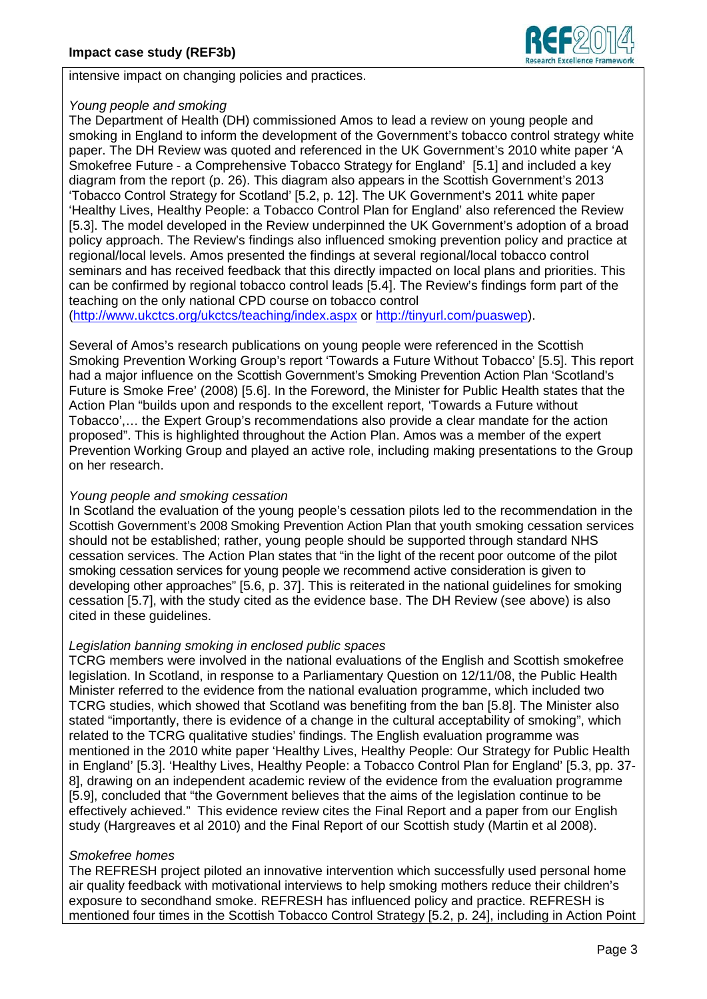

intensive impact on changing policies and practices.

## *Young people and smoking*

The Department of Health (DH) commissioned Amos to lead a review on young people and smoking in England to inform the development of the Government's tobacco control strategy white paper. The DH Review was quoted and referenced in the UK Government's 2010 white paper 'A Smokefree Future - a Comprehensive Tobacco Strategy for England' [5.1] and included a key diagram from the report (p. 26). This diagram also appears in the Scottish Government's 2013 'Tobacco Control Strategy for Scotland' [5.2, p. 12]. The UK Government's 2011 white paper 'Healthy Lives, Healthy People: a Tobacco Control Plan for England' also referenced the Review [5.3]. The model developed in the Review underpinned the UK Government's adoption of a broad policy approach. The Review's findings also influenced smoking prevention policy and practice at regional/local levels. Amos presented the findings at several regional/local tobacco control seminars and has received feedback that this directly impacted on local plans and priorities. This can be confirmed by regional tobacco control leads [5.4]. The Review's findings form part of the teaching on the only national CPD course on tobacco control

(http://www.ukctcs.org/ukctcs/teaching/index.aspx or http://tinyurl.com/puaswep).

Several of Amos's research publications on young people were referenced in the Scottish Smoking Prevention Working Group's report 'Towards a Future Without Tobacco' [5.5]. This report had a major influence on the Scottish Government's Smoking Prevention Action Plan 'Scotland's Future is Smoke Free' (2008) [5.6]. In the Foreword, the Minister for Public Health states that the Action Plan "builds upon and responds to the excellent report, 'Towards a Future without Tobacco',… the Expert Group's recommendations also provide a clear mandate for the action proposed". This is highlighted throughout the Action Plan. Amos was a member of the expert Prevention Working Group and played an active role, including making presentations to the Group on her research.

## *Young people and smoking cessation*

In Scotland the evaluation of the young people's cessation pilots led to the recommendation in the Scottish Government's 2008 Smoking Prevention Action Plan that youth smoking cessation services should not be established; rather, young people should be supported through standard NHS cessation services. The Action Plan states that "in the light of the recent poor outcome of the pilot smoking cessation services for young people we recommend active consideration is given to developing other approaches" [5.6, p. 37]. This is reiterated in the national guidelines for smoking cessation [5.7], with the study cited as the evidence base. The DH Review (see above) is also cited in these guidelines.

## *Legislation banning smoking in enclosed public spaces*

TCRG members were involved in the national evaluations of the English and Scottish smokefree legislation. In Scotland, in response to a Parliamentary Question on 12/11/08, the Public Health Minister referred to the evidence from the national evaluation programme, which included two TCRG studies, which showed that Scotland was benefiting from the ban [5.8]. The Minister also stated "importantly, there is evidence of a change in the cultural acceptability of smoking", which related to the TCRG qualitative studies' findings. The English evaluation programme was mentioned in the 2010 white paper 'Healthy Lives, Healthy People: Our Strategy for Public Health in England' [5.3]. 'Healthy Lives, Healthy People: a Tobacco Control Plan for England' [5.3, pp. 37- 8], drawing on an independent academic review of the evidence from the evaluation programme [5.9], concluded that "the Government believes that the aims of the legislation continue to be effectively achieved." This evidence review cites the Final Report and a paper from our English study (Hargreaves et al 2010) and the Final Report of our Scottish study (Martin et al 2008).

## *Smokefree homes*

The REFRESH project piloted an innovative intervention which successfully used personal home air quality feedback with motivational interviews to help smoking mothers reduce their children's exposure to secondhand smoke. REFRESH has influenced policy and practice. REFRESH is mentioned four times in the Scottish Tobacco Control Strategy [5.2, p. 24], including in Action Point